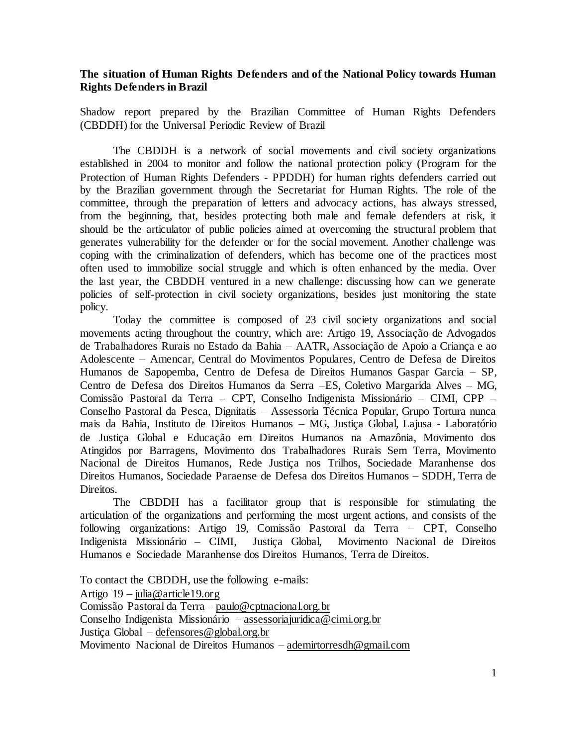# **The situation of Human Rights Defenders and of the National Policy towards Human Rights Defenders in Brazil**

Shadow report prepared by the Brazilian Committee of Human Rights Defenders (CBDDH) for the Universal Periodic Review of Brazil

The CBDDH is a network of social movements and civil society organizations established in 2004 to monitor and follow the national protection policy (Program for the Protection of Human Rights Defenders - PPDDH) for human rights defenders carried out by the Brazilian government through the Secretariat for Human Rights. The role of the committee, through the preparation of letters and advocacy actions, has always stressed, from the beginning, that, besides protecting both male and female defenders at risk, it should be the articulator of public policies aimed at overcoming the structural problem that generates vulnerability for the defender or for the social movement. Another challenge was coping with the criminalization of defenders, which has become one of the practices most often used to immobilize social struggle and which is often enhanced by the media. Over the last year, the CBDDH ventured in a new challenge: discussing how can we generate policies of self-protection in civil society organizations, besides just monitoring the state policy.

Today the committee is composed of 23 civil society organizations and social movements acting throughout the country, which are: Artigo 19, Associação de Advogados de Trabalhadores Rurais no Estado da Bahia – AATR, Associação de Apoio a Criança e ao Adolescente – Amencar, Central do Movimentos Populares, Centro de Defesa de Direitos Humanos de Sapopemba, Centro de Defesa de Direitos Humanos Gaspar Garcia – SP, Centro de Defesa dos Direitos Humanos da Serra –ES, Coletivo Margarida Alves – MG, Comissão Pastoral da Terra – CPT, Conselho Indigenista Missionário – CIMI, CPP – Conselho Pastoral da Pesca, Dignitatis – Assessoria Técnica Popular, Grupo Tortura nunca mais da Bahia, Instituto de Direitos Humanos – MG, Justiça Global, Lajusa - Laboratório de Justiça Global e Educação em Direitos Humanos na Amazônia, Movimento dos Atingidos por Barragens, Movimento dos Trabalhadores Rurais Sem Terra, Movimento Nacional de Direitos Humanos, Rede Justiça nos Trilhos, Sociedade Maranhense dos Direitos Humanos, Sociedade Paraense de Defesa dos Direitos Humanos – SDDH, Terra de Direitos.

The CBDDH has a facilitator group that is responsible for stimulating the articulation of the organizations and performing the most urgent actions, and consists of the following organizations: Artigo 19, Comissão Pastoral da Terra – CPT, Conselho Indigenista Missionário – CIMI, Justiça Global, Movimento Nacional de Direitos Humanos e Sociedade Maranhense dos Direitos Humanos, Terra de Direitos.

To contact the CBDDH, use the following e-mails: Artigo 19 – julia@article19.org Comissão Pastoral da Terra – paulo@cptnacional.org.br Conselho Indigenista Missionário – assessoriajuridica@cimi.org.br Justiça Global – defensores@global.org.br Movimento Nacional de Direitos Humanos – ademirtorresdh@gmail.com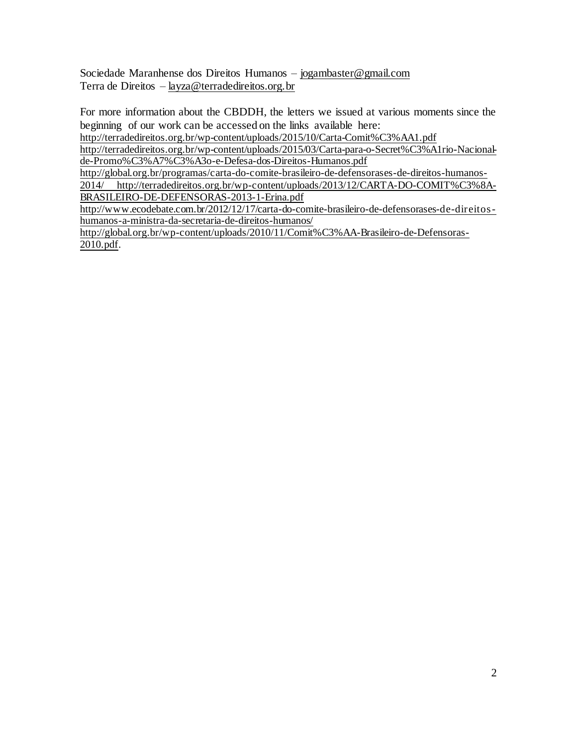Sociedade Maranhense dos Direitos Humanos – jogambaster@gmail.com Terra de Direitos – layza@terradedireitos.org.br

For more information about the CBDDH, the letters we issued at various moments since the beginning of our work can be accessed on the links available here: http://terradedireitos.org.br/wp-content/uploads/2015/10/Carta-Comit%C3%AA1.pdf http://terradedireitos.org.br/wp-content/uploads/2015/03/Carta-para-o-Secret%C3%A1rio-Nacionalde-Promo%C3%A7%C3%A3o-e-Defesa-dos-Direitos-Humanos.pdf http://global.org.br/programas/carta-do-comite-brasileiro-de-defensorases-de-direitos-humanos-2014/ http://terradedireitos.org.br/wp-content/uploads/2013/12/CARTA-DO-COMIT%C3%8A-BRASILEIRO-DE-DEFENSORAS-2013-1-Erina.pdf http://www.ecodebate.com.br/2012/12/17/carta-do-comite-brasileiro-de-defensorases-de-direitoshumanos-a-ministra-da-secretaria-de-direitos-humanos/ http://global.org.br/wp-content/uploads/2010/11/Comit%C3%AA-Brasileiro-de-Defensoras-2010.pdf.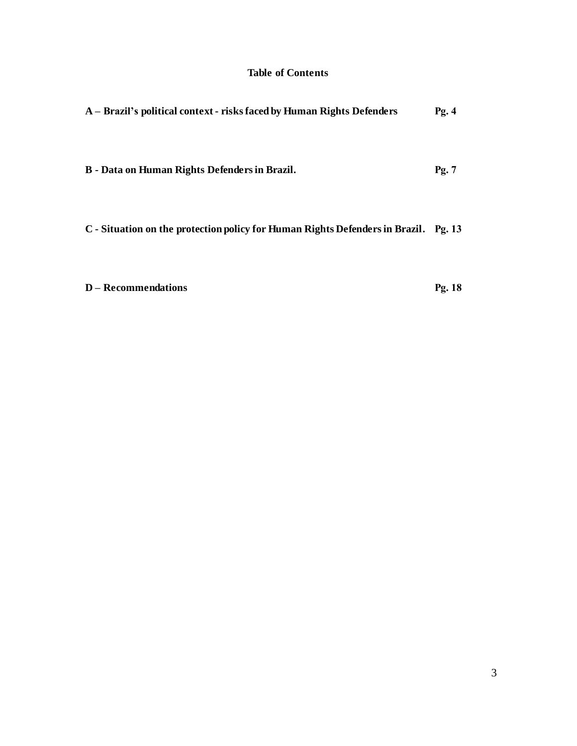# **Table of Contents**

| A – Brazil's political context - risks faced by Human Rights Defenders | Pg.4 |
|------------------------------------------------------------------------|------|
|------------------------------------------------------------------------|------|

**B - Data on Human Rights Defenders in Brazil. Pg. 7**

**C - Situation on the protection policy for Human Rights Defenders in Brazil. Pg. 13**

**D – Recommendations Pg. 18**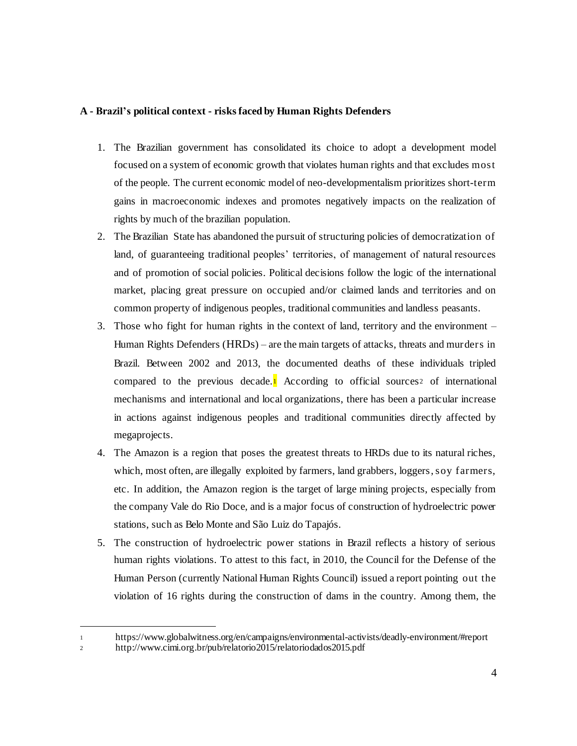#### **A - Brazil's political context - risks faced by Human Rights Defenders**

- 1. The Brazilian government has consolidated its choice to adopt a development model focused on a system of economic growth that violates human rights and that excludes most of the people. The current economic model of neo-developmentalism prioritizes short-term gains in macroeconomic indexes and promotes negatively impacts on the realization of rights by much of the brazilian population.
- 2. The Brazilian State has abandoned the pursuit of structuring policies of democratization of land, of guaranteeing traditional peoples' territories, of management of natural resources and of promotion of social policies. Political decisions follow the logic of the international market, placing great pressure on occupied and/or claimed lands and territories and on common property of indigenous peoples, traditional communities and landless peasants.
- 3. Those who fight for human rights in the context of land, territory and the environment Human Rights Defenders (HRDs) – are the main targets of attacks, threats and murders in Brazil. Between 2002 and 2013, the documented deaths of these individuals tripled compared to the previous decade.<sup>1</sup> According to official sources<sup>2</sup> of international mechanisms and international and local organizations, there has been a particular increase in actions against indigenous peoples and traditional communities directly affected by megaprojects.
- 4. The Amazon is a region that poses the greatest threats to HRDs due to its natural riches, which, most often, are illegally exploited by farmers, land grabbers, loggers, soy farmers, etc. In addition, the Amazon region is the target of large mining projects, especially from the company Vale do Rio Doce, and is a major focus of construction of hydroelectric power stations, such as Belo Monte and São Luiz do Tapajós.
- 5. The construction of hydroelectric power stations in Brazil reflects a history of serious human rights violations. To attest to this fact, in 2010, the Council for the Defense of the Human Person (currently National Human Rights Council) issued a report pointing out the violation of 16 rights during the construction of dams in the country. Among them, the

<sup>1</sup> https://www.globalwitness.org/en/campaigns/environmental-activists/deadly-environment/#report

<sup>2</sup> http://www.cimi.org.br/pub/relatorio2015/relatoriodados2015.pdf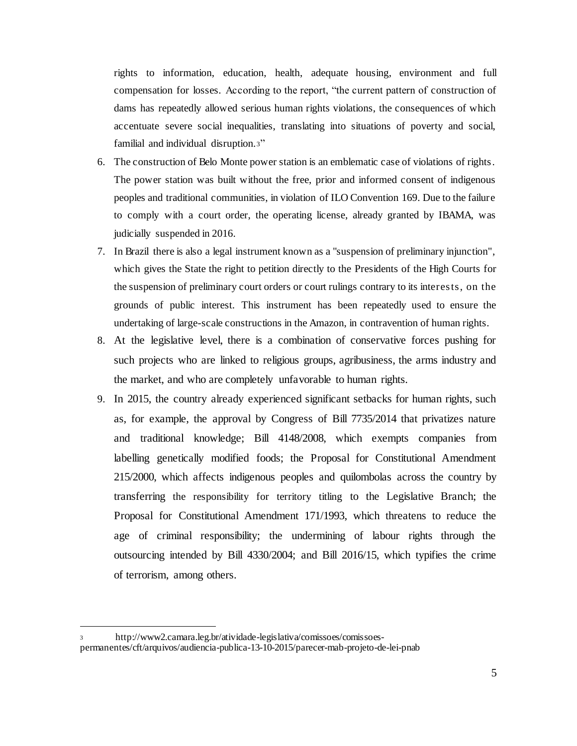rights to information, education, health, adequate housing, environment and full compensation for losses. According to the report, "the current pattern of construction of dams has repeatedly allowed serious human rights violations, the consequences of which accentuate severe social inequalities, translating into situations of poverty and social, familial and individual disruption.3"

- 6. The construction of Belo Monte power station is an emblematic case of violations of rights. The power station was built without the free, prior and informed consent of indigenous peoples and traditional communities, in violation of ILO Convention 169. Due to the failure to comply with a court order, the operating license, already granted by IBAMA, was judicially suspended in 2016.
- 7. In Brazil there is also a legal instrument known as a "suspension of preliminary injunction", which gives the State the right to petition directly to the Presidents of the High Courts for the suspension of preliminary court orders or court rulings contrary to its interests, on the grounds of public interest. This instrument has been repeatedly used to ensure the undertaking of large-scale constructions in the Amazon, in contravention of human rights.
- 8. At the legislative level, there is a combination of conservative forces pushing for such projects who are linked to religious groups, agribusiness, the arms industry and the market, and who are completely unfavorable to human rights.
- 9. In 2015, the country already experienced significant setbacks for human rights, such as, for example, the approval by Congress of Bill 7735/2014 that privatizes nature and traditional knowledge; Bill 4148/2008, which exempts companies from labelling genetically modified foods; the Proposal for Constitutional Amendment 215/2000, which affects indigenous peoples and quilombolas across the country by transferring the responsibility for territory titling to the Legislative Branch; the Proposal for Constitutional Amendment 171/1993, which threatens to reduce the age of criminal responsibility; the undermining of labour rights through the outsourcing intended by Bill 4330/2004; and Bill 2016/15, which typifies the crime of terrorism, among others.

<sup>3</sup> http://www2.camara.leg.br/atividade-legislativa/comissoes/comissoes-

permanentes/cft/arquivos/audiencia-publica-13-10-2015/parecer-mab-projeto-de-lei-pnab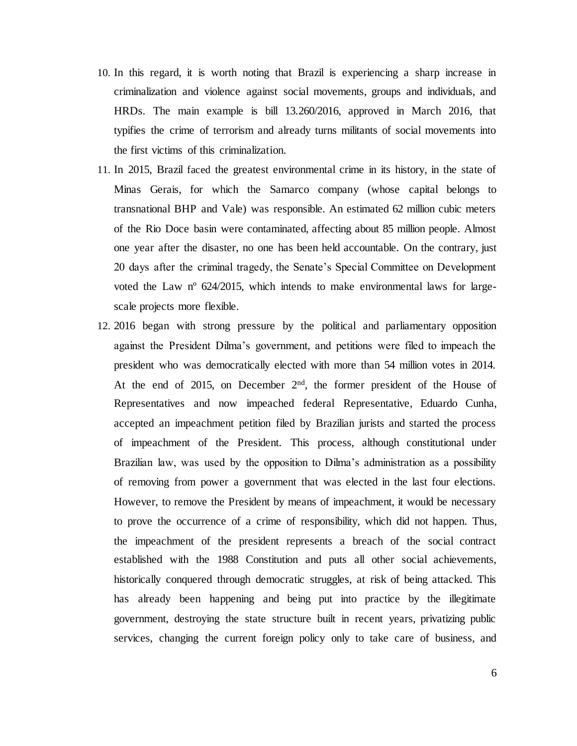- 10. In this regard, it is worth noting that Brazil is experiencing a sharp increase in criminalization and violence against social movements, groups and individuals, and HRDs. The main example is bill 13.260/2016, approved in March 2016, that typifies the crime of terrorism and already turns militants of social movements into the first victims of this criminalization.
- 11. In 2015, Brazil faced the greatest environmental crime in its history, in the state of Minas Gerais, for which the Samarco company (whose capital belongs to transnational BHP and Vale) was responsible. An estimated 62 million cubic meters of the Rio Doce basin were contaminated, affecting about 85 million people. Almost one year after the disaster, no one has been held accountable. On the contrary, just 20 days after the criminal tragedy, the Senate's Special Committee on Development voted the Law nº 624/2015, which intends to make environmental laws for largescale projects more flexible.
- 12. 2016 began with strong pressure by the political and parliamentary opposition against the President Dilma's government, and petitions were filed to impeach the president who was democratically elected with more than 54 million votes in 2014. At the end of 2015, on December 2nd, the former president of the House of Representatives and now impeached federal Representative, Eduardo Cunha, accepted an impeachment petition filed by Brazilian jurists and started the process of impeachment of the President. This process, although constitutional under Brazilian law, was used by the opposition to Dilma's administration as a possibility of removing from power a government that was elected in the last four elections. However, to remove the President by means of impeachment, it would be necessary to prove the occurrence of a crime of responsibility, which did not happen. Thus, the impeachment of the president represents a breach of the social contract established with the 1988 Constitution and puts all other social achievements, historically conquered through democratic struggles, at risk of being attacked. This has already been happening and being put into practice by the illegitimate government, destroying the state structure built in recent years, privatizing public services, changing the current foreign policy only to take care of business, and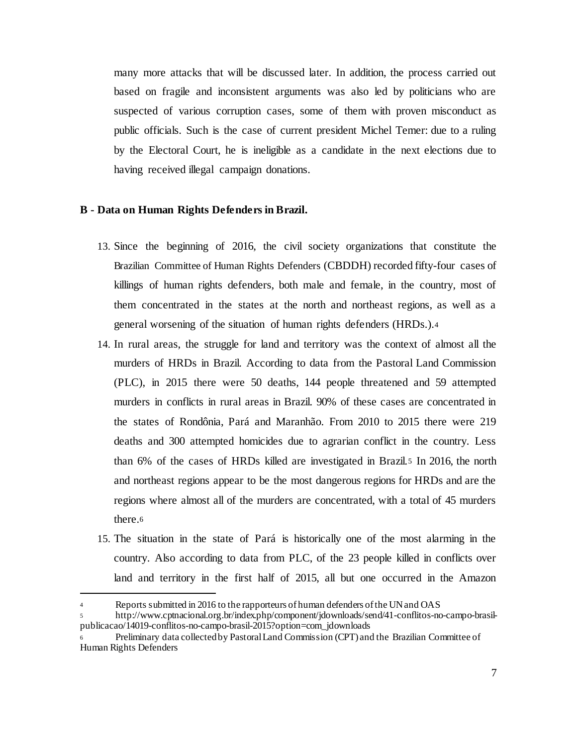many more attacks that will be discussed later. In addition, the process carried out based on fragile and inconsistent arguments was also led by politicians who are suspected of various corruption cases, some of them with proven misconduct as public officials. Such is the case of current president Michel Temer: due to a ruling by the Electoral Court, he is ineligible as a candidate in the next elections due to having received illegal campaign donations.

### **B - Data on Human Rights Defenders in Brazil.**

- 13. Since the beginning of 2016, the civil society organizations that constitute the Brazilian Committee of Human Rights Defenders (CBDDH) recorded fifty-four cases of killings of human rights defenders, both male and female, in the country, most of them concentrated in the states at the north and northeast regions, as well as a general worsening of the situation of human rights defenders (HRDs.).<sup>4</sup>
- 14. In rural areas, the struggle for land and territory was the context of almost all the murders of HRDs in Brazil. According to data from the Pastoral Land Commission (PLC), in 2015 there were 50 deaths, 144 people threatened and 59 attempted murders in conflicts in rural areas in Brazil. 90% of these cases are concentrated in the states of Rondônia, Pará and Maranhão. From 2010 to 2015 there were 219 deaths and 300 attempted homicides due to agrarian conflict in the country. Less than 6% of the cases of HRDs killed are investigated in Brazil.<sup>5</sup> In 2016, the north and northeast regions appear to be the most dangerous regions for HRDs and are the regions where almost all of the murders are concentrated, with a total of 45 murders there.<sup>6</sup>
- 15. The situation in the state of Pará is historically one of the most alarming in the country. Also according to data from PLC, of the 23 people killed in conflicts over land and territory in the first half of 2015, all but one occurred in the Amazon

<sup>4</sup> Reports submitted in 2016 to the rapporteurs of human defenders of the UN and OAS

<sup>5</sup> http://www.cptnacional.org.br/index.php/component/jdownloads/send/41-conflitos-no-campo-brasilpublicacao/14019-conflitos-no-campo-brasil-2015?option=com\_jdownloads

Preliminary data collected by Pastoral Land Commission (CPT) and the Brazilian Committee of Human Rights Defenders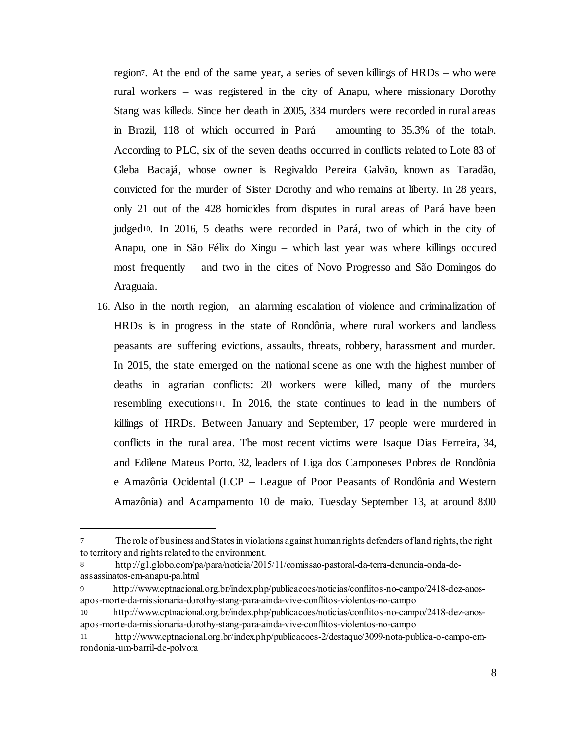region7. At the end of the same year, a series of seven killings of HRDs – who were rural workers – was registered in the city of Anapu, where missionary Dorothy Stang was killed8. Since her death in 2005, 334 murders were recorded in rural areas in Brazil, 118 of which occurred in Pará – amounting to 35.3% of the total9. According to PLC, six of the seven deaths occurred in conflicts related to Lote 83 of Gleba Bacajá, whose owner is Regivaldo Pereira Galvão, known as Taradão, convicted for the murder of Sister Dorothy and who remains at liberty. In 28 years, only 21 out of the 428 homicides from disputes in rural areas of Pará have been judged10. In 2016, 5 deaths were recorded in Pará, two of which in the city of Anapu, one in São Félix do Xingu – which last year was where killings occured most frequently – and two in the cities of Novo Progresso and São Domingos do Araguaia.

16. Also in the north region, an alarming escalation of violence and criminalization of HRDs is in progress in the state of Rondônia, where rural workers and landless peasants are suffering evictions, assaults, threats, robbery, harassment and murder. In 2015, the state emerged on the national scene as one with the highest number of deaths in agrarian conflicts: 20 workers were killed, many of the murders resembling executions11. In 2016, the state continues to lead in the numbers of killings of HRDs. Between January and September, 17 people were murdered in conflicts in the rural area. The most recent victims were Isaque Dias Ferreira, 34, and Edilene Mateus Porto, 32, leaders of Liga dos Camponeses Pobres de Rondônia e Amazônia Ocidental (LCP – League of Poor Peasants of Rondônia and Western Amazônia) and Acampamento 10 de maio. Tuesday September 13, at around 8:00

<sup>7</sup> The role of business and States in violations against human rights defenders of land rights, the right to territory and rights related to the environment.

<sup>8</sup> http://g1.globo.com/pa/para/noticia/2015/11/comissao-pastoral-da-terra-denuncia-onda-deassassinatos-em-anapu-pa.html

<sup>9</sup> http://www.cptnacional.org.br/index.php/publicacoes/noticias/conflitos-no-campo/2418-dez-anosapos-morte-da-missionaria-dorothy-stang-para-ainda-vive-conflitos-violentos-no-campo

<sup>10</sup> http://www.cptnacional.org.br/index.php/publicacoes/noticias/conflitos-no-campo/2418-dez-anosapos-morte-da-missionaria-dorothy-stang-para-ainda-vive-conflitos-violentos-no-campo

<sup>11</sup> http://www.cptnacional.org.br/index.php/publicacoes-2/destaque/3099-nota-publica-o-campo-emrondonia-um-barril-de-polvora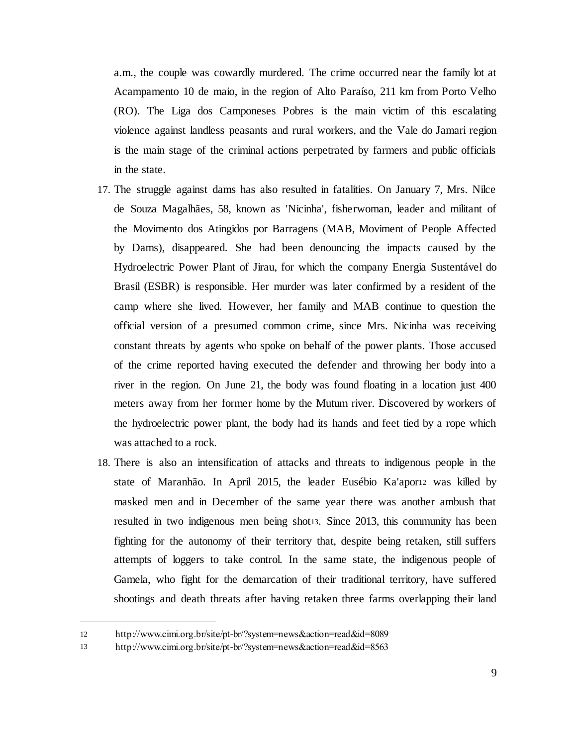a.m., the couple was cowardly murdered. The crime occurred near the family lot at Acampamento 10 de maio, in the region of Alto Paraíso, 211 km from Porto Velho (RO). The Liga dos Camponeses Pobres is the main victim of this escalating violence against landless peasants and rural workers, and the Vale do Jamari region is the main stage of the criminal actions perpetrated by farmers and public officials in the state.

- 17. The struggle against dams has also resulted in fatalities. On January 7, Mrs. Nilce de Souza Magalhães, 58, known as 'Nicinha', fisherwoman, leader and militant of the Movimento dos Atingidos por Barragens (MAB, Moviment of People Affected by Dams), disappeared. She had been denouncing the impacts caused by the Hydroelectric Power Plant of Jirau, for which the company Energia Sustentável do Brasil (ESBR) is responsible. Her murder was later confirmed by a resident of the camp where she lived. However, her family and MAB continue to question the official version of a presumed common crime, since Mrs. Nicinha was receiving constant threats by agents who spoke on behalf of the power plants. Those accused of the crime reported having executed the defender and throwing her body into a river in the region. On June 21, the body was found floating in a location just 400 meters away from her former home by the Mutum river. Discovered by workers of the hydroelectric power plant, the body had its hands and feet tied by a rope which was attached to a rock.
- 18. There is also an intensification of attacks and threats to indigenous people in the state of Maranhão. In April 2015, the leader Eusébio Ka'apor<sup>12</sup> was killed by masked men and in December of the same year there was another ambush that resulted in two indigenous men being shot13. Since 2013, this community has been fighting for the autonomy of their territory that, despite being retaken, still suffers attempts of loggers to take control. In the same state, the indigenous people of Gamela, who fight for the demarcation of their traditional territory, have suffered shootings and death threats after having retaken three farms overlapping their land

<sup>12</sup> http://www.cimi.org.br/site/pt-br/?system=news&action=read&id=8089

<sup>13</sup> http://www.cimi.org.br/site/pt-br/?system=news&action=read&id=8563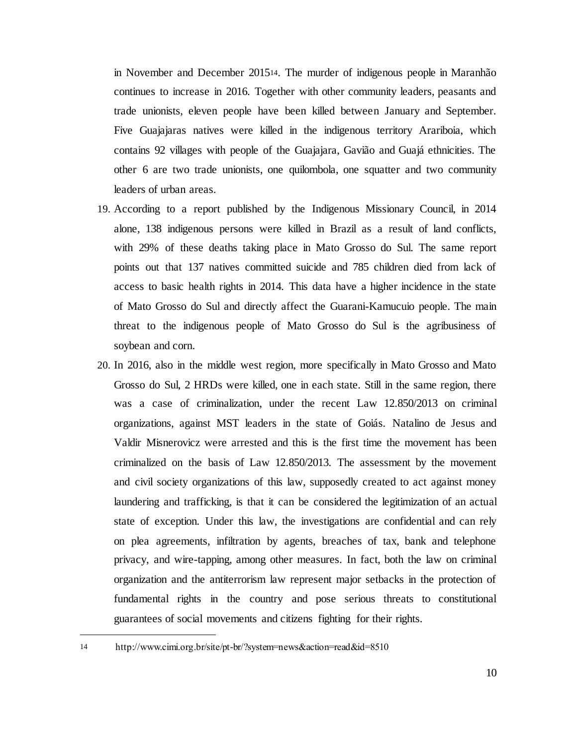in November and December 201514. The murder of indigenous people in Maranhão continues to increase in 2016. Together with other community leaders, peasants and trade unionists, eleven people have been killed between January and September. Five Guajajaras natives were killed in the indigenous territory Arariboia, which contains 92 villages with people of the Guajajara, Gavião and Guajá ethnicities. The other 6 are two trade unionists, one quilombola, one squatter and two community leaders of urban areas.

- 19. According to a report published by the Indigenous Missionary Council, in 2014 alone, 138 indigenous persons were killed in Brazil as a result of land conflicts, with 29% of these deaths taking place in Mato Grosso do Sul. The same report points out that 137 natives committed suicide and 785 children died from lack of access to basic health rights in 2014. This data have a higher incidence in the state of Mato Grosso do Sul and directly affect the Guarani-Kamucuio people. The main threat to the indigenous people of Mato Grosso do Sul is the agribusiness of soybean and corn.
- 20. In 2016, also in the middle west region, more specifically in Mato Grosso and Mato Grosso do Sul, 2 HRDs were killed, one in each state. Still in the same region, there was a case of criminalization, under the recent Law 12.850/2013 on criminal organizations, against MST leaders in the state of Goiás. Natalino de Jesus and Valdir Misnerovicz were arrested and this is the first time the movement has been criminalized on the basis of Law 12.850/2013. The assessment by the movement and civil society organizations of this law, supposedly created to act against money laundering and trafficking, is that it can be considered the legitimization of an actual state of exception. Under this law, the investigations are confidential and can rely on plea agreements, infiltration by agents, breaches of tax, bank and telephone privacy, and wire-tapping, among other measures. In fact, both the law on criminal organization and the antiterrorism law represent major setbacks in the protection of fundamental rights in the country and pose serious threats to constitutional guarantees of social movements and citizens fighting for their rights.

j

<sup>14</sup> http://www.cimi.org.br/site/pt-br/?system=news&action=read&id=8510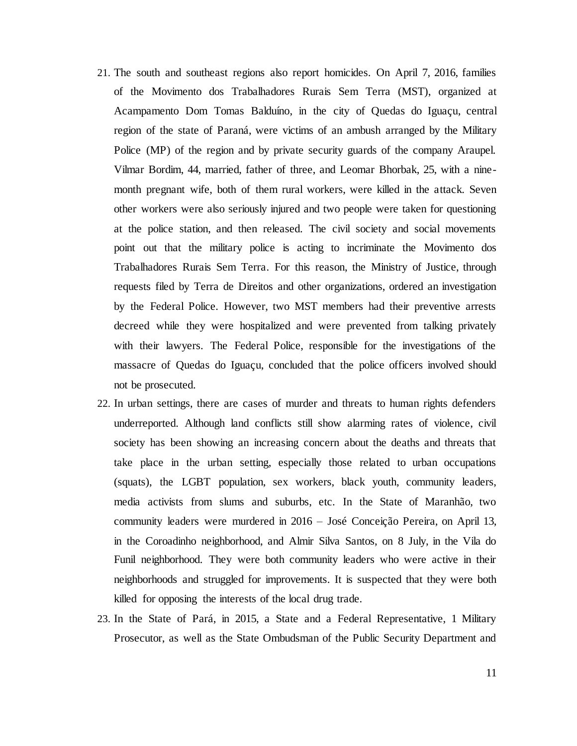- 21. The south and southeast regions also report homicides. On April 7, 2016, families of the Movimento dos Trabalhadores Rurais Sem Terra (MST), organized at Acampamento Dom Tomas Balduíno, in the city of Quedas do Iguaçu, central region of the state of Paraná, were victims of an ambush arranged by the Military Police (MP) of the region and by private security guards of the company Araupel. Vilmar Bordim, 44, married, father of three, and Leomar Bhorbak, 25, with a ninemonth pregnant wife, both of them rural workers, were killed in the attack. Seven other workers were also seriously injured and two people were taken for questioning at the police station, and then released. The civil society and social movements point out that the military police is acting to incriminate the Movimento dos Trabalhadores Rurais Sem Terra. For this reason, the Ministry of Justice, through requests filed by Terra de Direitos and other organizations, ordered an investigation by the Federal Police. However, two MST members had their preventive arrests decreed while they were hospitalized and were prevented from talking privately with their lawyers. The Federal Police, responsible for the investigations of the massacre of Quedas do Iguaçu, concluded that the police officers involved should not be prosecuted.
- 22. In urban settings, there are cases of murder and threats to human rights defenders underreported. Although land conflicts still show alarming rates of violence, civil society has been showing an increasing concern about the deaths and threats that take place in the urban setting, especially those related to urban occupations (squats), the LGBT population, sex workers, black youth, community leaders, media activists from slums and suburbs, etc. In the State of Maranhão, two community leaders were murdered in 2016 – José Conceição Pereira, on April 13, in the Coroadinho neighborhood, and Almir Silva Santos, on 8 July, in the Vila do Funil neighborhood. They were both community leaders who were active in their neighborhoods and struggled for improvements. It is suspected that they were both killed for opposing the interests of the local drug trade.
- 23. In the State of Pará, in 2015, a State and a Federal Representative, 1 Military Prosecutor, as well as the State Ombudsman of the Public Security Department and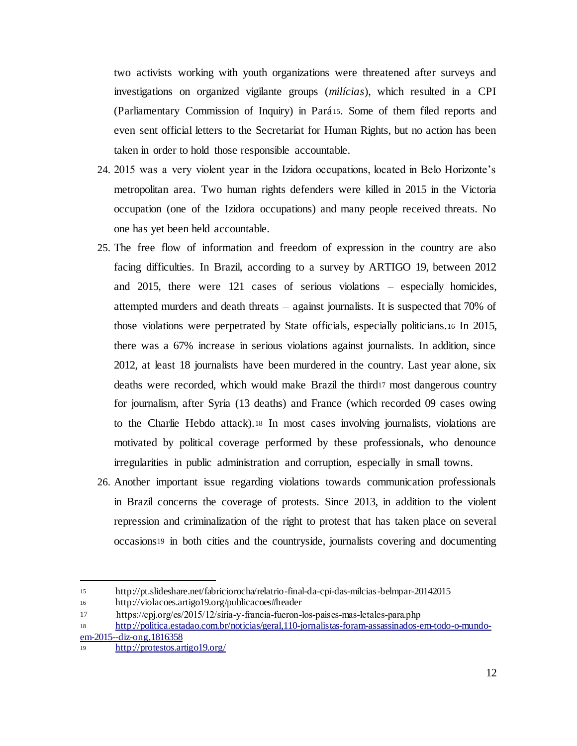two activists working with youth organizations were threatened after surveys and investigations on organized vigilante groups (*milícias*), which resulted in a CPI (Parliamentary Commission of Inquiry) in Pará15. Some of them filed reports and even sent official letters to the Secretariat for Human Rights, but no action has been taken in order to hold those responsible accountable.

- 24. 2015 was a very violent year in the Izidora occupations, located in Belo Horizonte's metropolitan area. Two human rights defenders were killed in 2015 in the Victoria occupation (one of the Izidora occupations) and many people received threats. No one has yet been held accountable.
- 25. The free flow of information and freedom of expression in the country are also facing difficulties. In Brazil, according to a survey by ARTIGO 19, between 2012 and 2015, there were 121 cases of serious violations – especially homicides, attempted murders and death threats – against journalists. It is suspected that 70% of those violations were perpetrated by State officials, especially politicians.<sup>16</sup> In 2015, there was a 67% increase in serious violations against journalists. In addition, since 2012, at least 18 journalists have been murdered in the country. Last year alone, six deaths were recorded, which would make Brazil the third<sup>17</sup> most dangerous country for journalism, after Syria (13 deaths) and France (which recorded 09 cases owing to the Charlie Hebdo attack).<sup>18</sup> In most cases involving journalists, violations are motivated by political coverage performed by these professionals, who denounce irregularities in public administration and corruption, especially in small towns.
- 26. Another important issue regarding violations towards communication professionals in Brazil concerns the coverage of protests. Since 2013, in addition to the violent repression and criminalization of the right to protest that has taken place on several occasions<sup>19</sup> in both cities and the countryside, journalists covering and documenting

j

<sup>15</sup> http://pt.slideshare.net/fabriciorocha/relatrio-final-da-cpi-das-milcias-belmpar-20142015

<sup>16</sup> http://violacoes.artigo19.org/publicacoes#header

<sup>17</sup> https://cpj.org/es/2015/12/siria-y-francia-fueron-los-paises-mas-letales-para.php

<sup>18</sup> http://politica.estadao.com.br/noticias/geral,110-jornalistas-foram-assassinados-em-todo-o-mundoem-2015--diz-ong,1816358

<sup>19</sup> http://protestos.artigo19.org/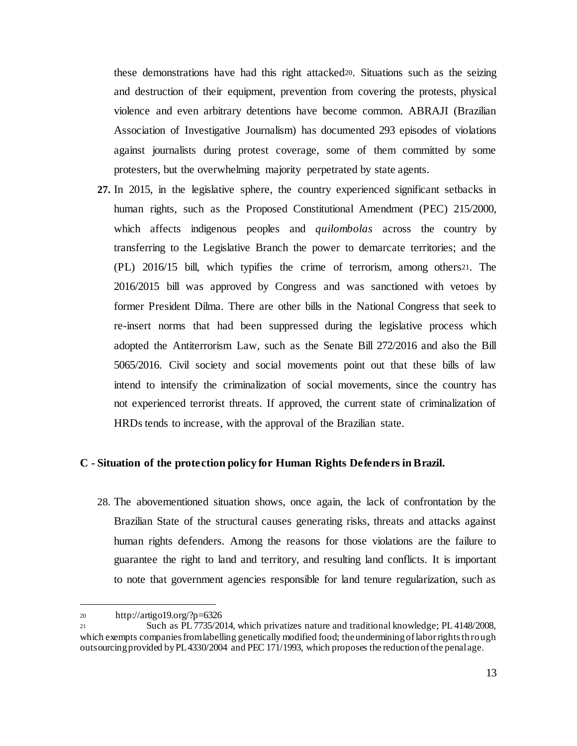these demonstrations have had this right attacked20. Situations such as the seizing and destruction of their equipment, prevention from covering the protests, physical violence and even arbitrary detentions have become common. ABRAJI (Brazilian Association of Investigative Journalism) has documented 293 episodes of violations against journalists during protest coverage, some of them committed by some protesters, but the overwhelming majority perpetrated by state agents.

**27.** In 2015, in the legislative sphere, the country experienced significant setbacks in human rights, such as the Proposed Constitutional Amendment (PEC) 215/2000, which affects indigenous peoples and *quilombolas* across the country by transferring to the Legislative Branch the power to demarcate territories; and the (PL) 2016/15 bill, which typifies the crime of terrorism, among others21. The 2016/2015 bill was approved by Congress and was sanctioned with vetoes by former President Dilma. There are other bills in the National Congress that seek to re-insert norms that had been suppressed during the legislative process which adopted the Antiterrorism Law, such as the Senate Bill 272/2016 and also the Bill 5065/2016. Civil society and social movements point out that these bills of law intend to intensify the criminalization of social movements, since the country has not experienced terrorist threats. If approved, the current state of criminalization of HRDs tends to increase, with the approval of the Brazilian state.

## **C - Situation of the protection policy for Human Rights Defenders in Brazil.**

28. The abovementioned situation shows, once again, the lack of confrontation by the Brazilian State of the structural causes generating risks, threats and attacks against human rights defenders. Among the reasons for those violations are the failure to guarantee the right to land and territory, and resulting land conflicts. It is important to note that government agencies responsible for land tenure regularization, such as

<sup>20</sup> http://artigo19.org/?p=6326

<sup>21</sup> Such as PL 7735/2014, which privatizes nature and traditional knowledge; PL 4148/2008, which exempts companies from labelling genetically modified food; the undermining of labor rights through outsourcing provided by PL 4330/2004 and PEC 171/1993, which proposes the reduction of the penal age.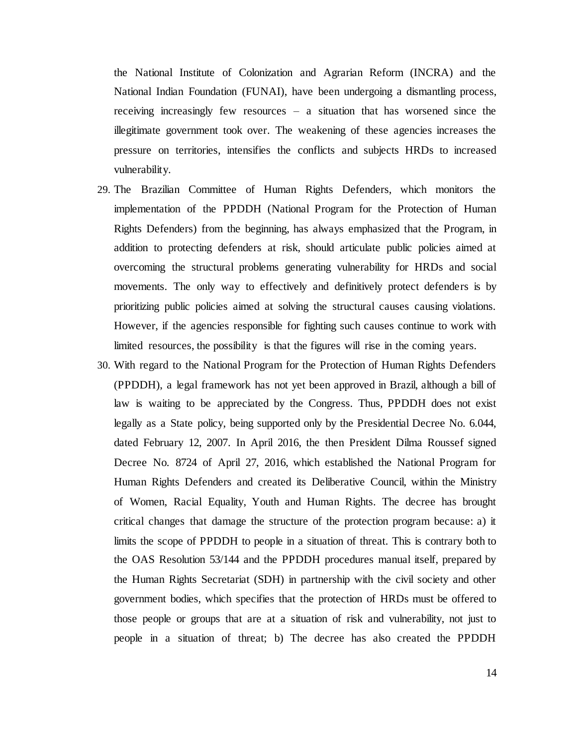the National Institute of Colonization and Agrarian Reform (INCRA) and the National Indian Foundation (FUNAI), have been undergoing a dismantling process, receiving increasingly few resources – a situation that has worsened since the illegitimate government took over. The weakening of these agencies increases the pressure on territories, intensifies the conflicts and subjects HRDs to increased vulnerability.

- 29. The Brazilian Committee of Human Rights Defenders, which monitors the implementation of the PPDDH (National Program for the Protection of Human Rights Defenders) from the beginning, has always emphasized that the Program, in addition to protecting defenders at risk, should articulate public policies aimed at overcoming the structural problems generating vulnerability for HRDs and social movements. The only way to effectively and definitively protect defenders is by prioritizing public policies aimed at solving the structural causes causing violations. However, if the agencies responsible for fighting such causes continue to work with limited resources, the possibility is that the figures will rise in the coming years.
- 30. With regard to the National Program for the Protection of Human Rights Defenders (PPDDH), a legal framework has not yet been approved in Brazil, although a bill of law is waiting to be appreciated by the Congress. Thus, PPDDH does not exist legally as a State policy, being supported only by the Presidential Decree No. 6.044, dated February 12, 2007. In April 2016, the then President Dilma Roussef signed Decree No. 8724 of April 27, 2016, which established the National Program for Human Rights Defenders and created its Deliberative Council, within the Ministry of Women, Racial Equality, Youth and Human Rights. The decree has brought critical changes that damage the structure of the protection program because: a) it limits the scope of PPDDH to people in a situation of threat. This is contrary both to the OAS Resolution 53/144 and the PPDDH procedures manual itself, prepared by the Human Rights Secretariat (SDH) in partnership with the civil society and other government bodies, which specifies that the protection of HRDs must be offered to those people or groups that are at a situation of risk and vulnerability, not just to people in a situation of threat; b) The decree has also created the PPDDH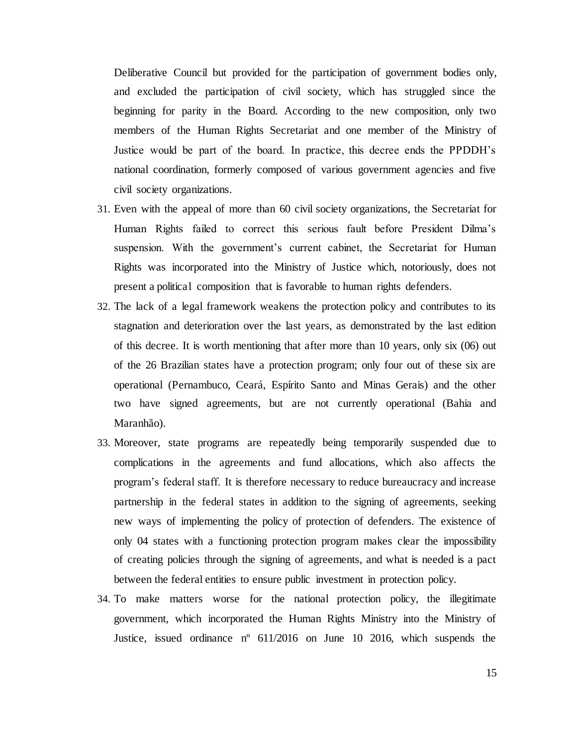Deliberative Council but provided for the participation of government bodies only, and excluded the participation of civil society, which has struggled since the beginning for parity in the Board. According to the new composition, only two members of the Human Rights Secretariat and one member of the Ministry of Justice would be part of the board. In practice, this decree ends the PPDDH's national coordination, formerly composed of various government agencies and five civil society organizations.

- 31. Even with the appeal of more than 60 civil society organizations, the Secretariat for Human Rights failed to correct this serious fault before President Dilma's suspension. With the government's current cabinet, the Secretariat for Human Rights was incorporated into the Ministry of Justice which, notoriously, does not present a political composition that is favorable to human rights defenders.
- 32. The lack of a legal framework weakens the protection policy and contributes to its stagnation and deterioration over the last years, as demonstrated by the last edition of this decree. It is worth mentioning that after more than 10 years, only six (06) out of the 26 Brazilian states have a protection program; only four out of these six are operational (Pernambuco, Ceará, Espírito Santo and Minas Gerais) and the other two have signed agreements, but are not currently operational (Bahia and Maranhão).
- 33. Moreover, state programs are repeatedly being temporarily suspended due to complications in the agreements and fund allocations, which also affects the program's federal staff. It is therefore necessary to reduce bureaucracy and increase partnership in the federal states in addition to the signing of agreements, seeking new ways of implementing the policy of protection of defenders. The existence of only 04 states with a functioning protection program makes clear the impossibility of creating policies through the signing of agreements, and what is needed is a pact between the federal entities to ensure public investment in protection policy.
- 34. To make matters worse for the national protection policy, the illegitimate government, which incorporated the Human Rights Ministry into the Ministry of Justice, issued ordinance nº 611/2016 on June 10 2016, which suspends the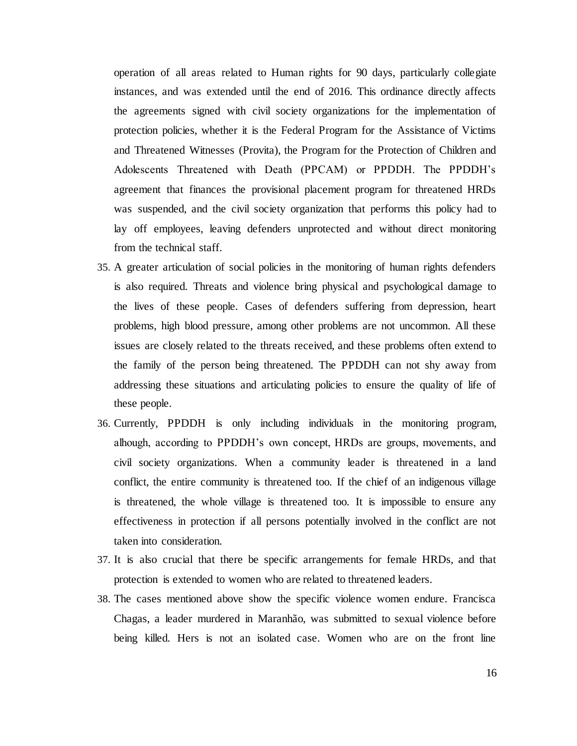operation of all areas related to Human rights for 90 days, particularly collegiate instances, and was extended until the end of 2016. This ordinance directly affects the agreements signed with civil society organizations for the implementation of protection policies, whether it is the Federal Program for the Assistance of Victims and Threatened Witnesses (Provita), the Program for the Protection of Children and Adolescents Threatened with Death (PPCAM) or PPDDH. The PPDDH's agreement that finances the provisional placement program for threatened HRDs was suspended, and the civil society organization that performs this policy had to lay off employees, leaving defenders unprotected and without direct monitoring from the technical staff.

- 35. A greater articulation of social policies in the monitoring of human rights defenders is also required. Threats and violence bring physical and psychological damage to the lives of these people. Cases of defenders suffering from depression, heart problems, high blood pressure, among other problems are not uncommon. All these issues are closely related to the threats received, and these problems often extend to the family of the person being threatened. The PPDDH can not shy away from addressing these situations and articulating policies to ensure the quality of life of these people.
- 36. Currently, PPDDH is only including individuals in the monitoring program, alhough, according to PPDDH's own concept, HRDs are groups, movements, and civil society organizations. When a community leader is threatened in a land conflict, the entire community is threatened too. If the chief of an indigenous village is threatened, the whole village is threatened too. It is impossible to ensure any effectiveness in protection if all persons potentially involved in the conflict are not taken into consideration.
- 37. It is also crucial that there be specific arrangements for female HRDs, and that protection is extended to women who are related to threatened leaders.
- 38. The cases mentioned above show the specific violence women endure. Francisca Chagas, a leader murdered in Maranhão, was submitted to sexual violence before being killed. Hers is not an isolated case. Women who are on the front line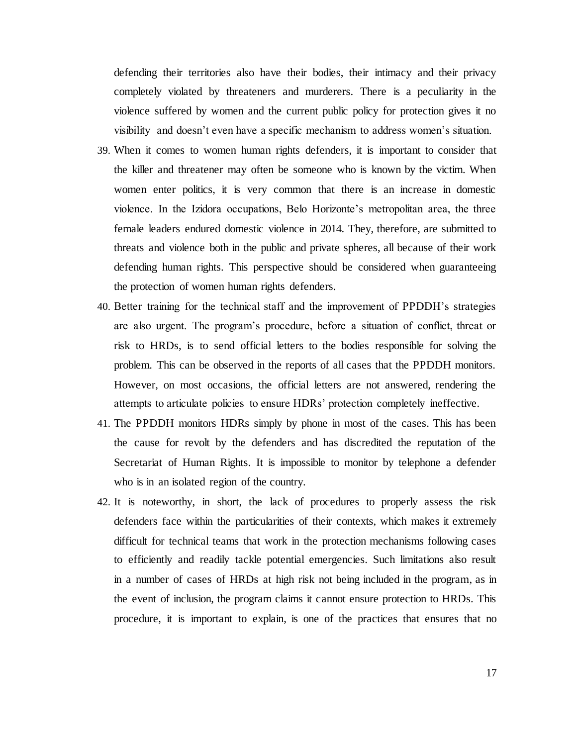defending their territories also have their bodies, their intimacy and their privacy completely violated by threateners and murderers. There is a peculiarity in the violence suffered by women and the current public policy for protection gives it no visibility and doesn't even have a specific mechanism to address women's situation.

- 39. When it comes to women human rights defenders, it is important to consider that the killer and threatener may often be someone who is known by the victim. When women enter politics, it is very common that there is an increase in domestic violence. In the Izidora occupations, Belo Horizonte's metropolitan area, the three female leaders endured domestic violence in 2014. They, therefore, are submitted to threats and violence both in the public and private spheres, all because of their work defending human rights. This perspective should be considered when guaranteeing the protection of women human rights defenders.
- 40. Better training for the technical staff and the improvement of PPDDH's strategies are also urgent. The program's procedure, before a situation of conflict, threat or risk to HRDs, is to send official letters to the bodies responsible for solving the problem. This can be observed in the reports of all cases that the PPDDH monitors. However, on most occasions, the official letters are not answered, rendering the attempts to articulate policies to ensure HDRs' protection completely ineffective.
- 41. The PPDDH monitors HDRs simply by phone in most of the cases. This has been the cause for revolt by the defenders and has discredited the reputation of the Secretariat of Human Rights. It is impossible to monitor by telephone a defender who is in an isolated region of the country.
- 42. It is noteworthy, in short, the lack of procedures to properly assess the risk defenders face within the particularities of their contexts, which makes it extremely difficult for technical teams that work in the protection mechanisms following cases to efficiently and readily tackle potential emergencies. Such limitations also result in a number of cases of HRDs at high risk not being included in the program, as in the event of inclusion, the program claims it cannot ensure protection to HRDs. This procedure, it is important to explain, is one of the practices that ensures that no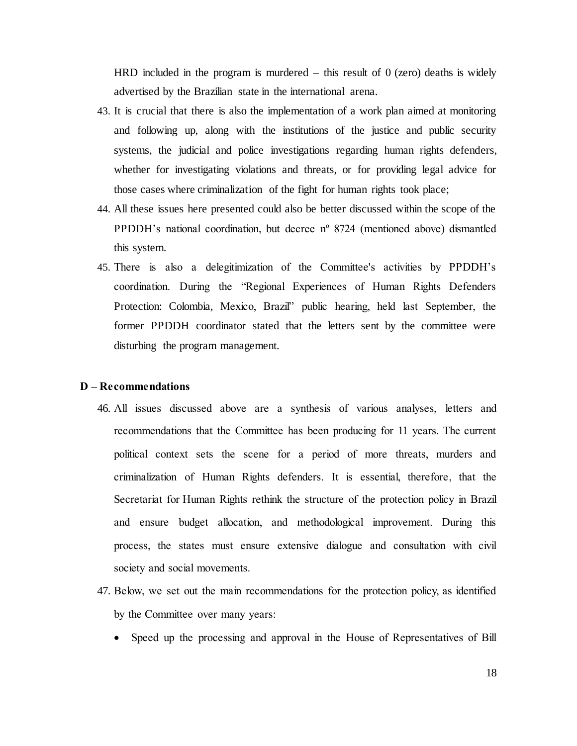HRD included in the program is murdered – this result of  $\theta$  (zero) deaths is widely advertised by the Brazilian state in the international arena.

- 43. It is crucial that there is also the implementation of a work plan aimed at monitoring and following up, along with the institutions of the justice and public security systems, the judicial and police investigations regarding human rights defenders, whether for investigating violations and threats, or for providing legal advice for those cases where criminalization of the fight for human rights took place;
- 44. All these issues here presented could also be better discussed within the scope of the PPDDH's national coordination, but decree nº 8724 (mentioned above) dismantled this system.
- 45. There is also a delegitimization of the Committee's activities by PPDDH's coordination. During the "Regional Experiences of Human Rights Defenders Protection: Colombia, Mexico, Brazil" public hearing, held last September, the former PPDDH coordinator stated that the letters sent by the committee were disturbing the program management.

#### **D – Recommendations**

- 46. All issues discussed above are a synthesis of various analyses, letters and recommendations that the Committee has been producing for 11 years. The current political context sets the scene for a period of more threats, murders and criminalization of Human Rights defenders. It is essential, therefore, that the Secretariat for Human Rights rethink the structure of the protection policy in Brazil and ensure budget allocation, and methodological improvement. During this process, the states must ensure extensive dialogue and consultation with civil society and social movements.
- 47. Below, we set out the main recommendations for the protection policy, as identified by the Committee over many years:
	- Speed up the processing and approval in the House of Representatives of Bill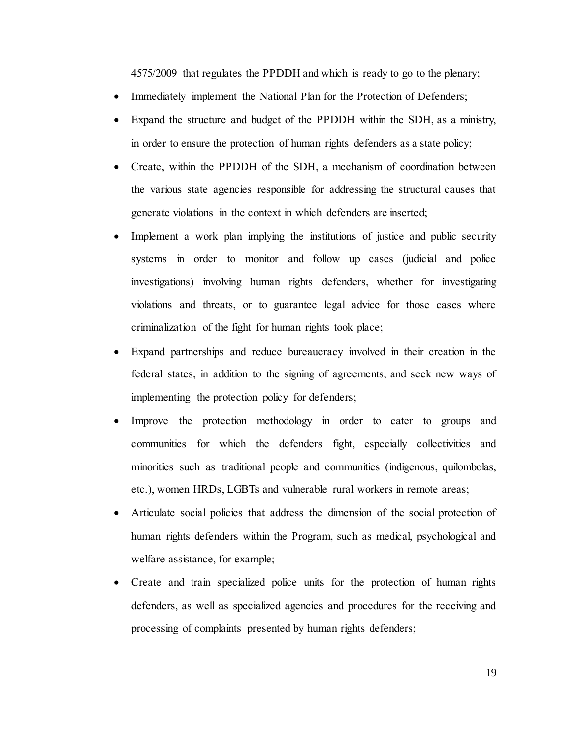4575/2009 that regulates the PPDDH and which is ready to go to the plenary;

- Immediately implement the National Plan for the Protection of Defenders;
- Expand the structure and budget of the PPDDH within the SDH, as a ministry, in order to ensure the protection of human rights defenders as a state policy;
- Create, within the PPDDH of the SDH, a mechanism of coordination between the various state agencies responsible for addressing the structural causes that generate violations in the context in which defenders are inserted;
- Implement a work plan implying the institutions of justice and public security systems in order to monitor and follow up cases (judicial and police investigations) involving human rights defenders, whether for investigating violations and threats, or to guarantee legal advice for those cases where criminalization of the fight for human rights took place;
- Expand partnerships and reduce bureaucracy involved in their creation in the federal states, in addition to the signing of agreements, and seek new ways of implementing the protection policy for defenders;
- Improve the protection methodology in order to cater to groups and communities for which the defenders fight, especially collectivities and minorities such as traditional people and communities (indigenous, quilombolas, etc.), women HRDs, LGBTs and vulnerable rural workers in remote areas;
- Articulate social policies that address the dimension of the social protection of human rights defenders within the Program, such as medical, psychological and welfare assistance, for example;
- Create and train specialized police units for the protection of human rights defenders, as well as specialized agencies and procedures for the receiving and processing of complaints presented by human rights defenders;